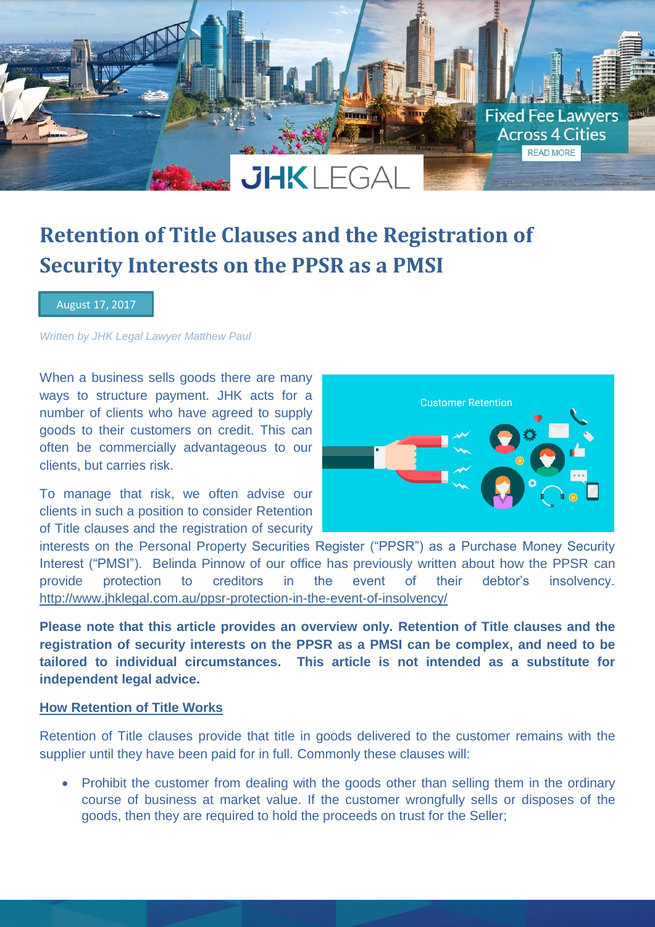

# **Retention of Title Clauses and the Registration of Security Interests on the PPSR as a PMSI**

August 17, 2017

*Written by JHK Legal Lawyer Matthew Paul*

When a business sells goods there are many ways to structure payment. JHK acts for a number of clients who have agreed to supply goods to their customers on credit. This can often be commercially advantageous to our clients, but carries risk.

To manage that risk, we often advise our clients in such a position to consider Retention of Title clauses and the registration of security



interests on the Personal Property Securities Register ("PPSR") as a Purchase Money Security Interest ("PMSI"). Belinda Pinnow of our office has previously written about how the PPSR can provide protection to creditors in the event of their debtor's insolvency. <http://www.jhklegal.com.au/ppsr-protection-in-the-event-of-insolvency/>

**Please note that this article provides an overview only. Retention of Title clauses and the registration of security interests on the PPSR as a PMSI can be complex, and need to be tailored to individual circumstances. This article is not intended as a substitute for independent legal advice.**

### **How Retention of Title Works**

Retention of Title clauses provide that title in goods delivered to the customer remains with the supplier until they have been paid for in full. Commonly these clauses will:

• Prohibit the customer from dealing with the goods other than selling them in the ordinary course of business at market value. If the customer wrongfully sells or disposes of the goods, then they are required to hold the proceeds on trust for the Seller;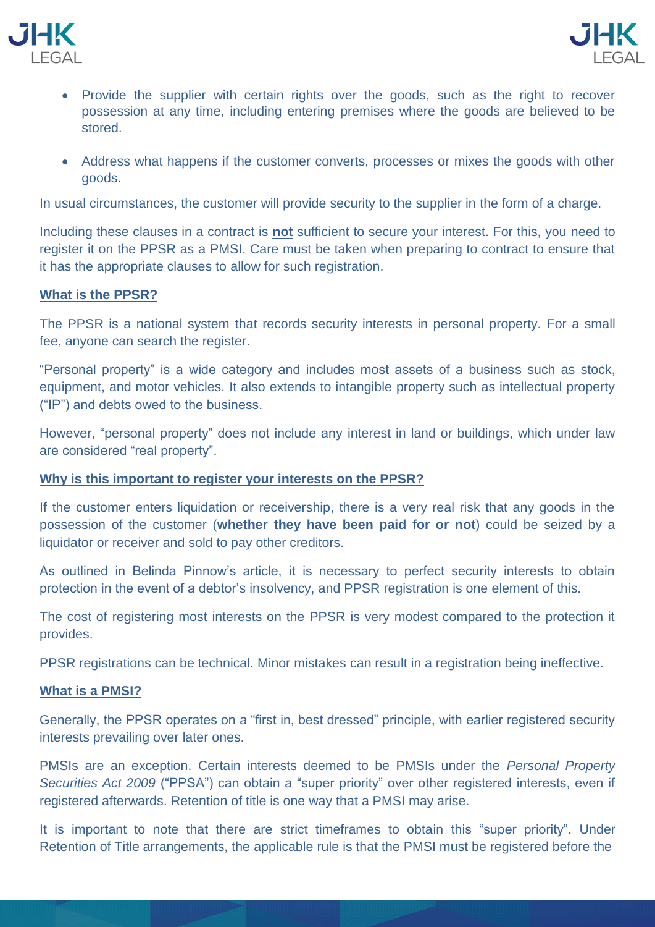



- Provide the supplier with certain rights over the goods, such as the right to recover possession at any time, including entering premises where the goods are believed to be stored.
- Address what happens if the customer converts, processes or mixes the goods with other goods.

In usual circumstances, the customer will provide security to the supplier in the form of a charge.

Including these clauses in a contract is **not** sufficient to secure your interest. For this, you need to register it on the PPSR as a PMSI. Care must be taken when preparing to contract to ensure that it has the appropriate clauses to allow for such registration.

### **What is the PPSR?**

The PPSR is a national system that records security interests in personal property. For a small fee, anyone can search the register.

"Personal property" is a wide category and includes most assets of a business such as stock, equipment, and motor vehicles. It also extends to intangible property such as intellectual property ("IP") and debts owed to the business.

However, "personal property" does not include any interest in land or buildings, which under law are considered "real property".

## **Why is this important to register your interests on the PPSR?**

If the customer enters liquidation or receivership, there is a very real risk that any goods in the possession of the customer (**whether they have been paid for or not**) could be seized by a liquidator or receiver and sold to pay other creditors.

As outlined in Belinda Pinnow's article, it is necessary to perfect security interests to obtain protection in the event of a debtor's insolvency, and PPSR registration is one element of this.

The cost of registering most interests on the PPSR is very modest compared to the protection it provides.

PPSR registrations can be technical. Minor mistakes can result in a registration being ineffective.

#### **What is a PMSI?**

Generally, the PPSR operates on a "first in, best dressed" principle, with earlier registered security interests prevailing over later ones.

PMSIs are an exception. Certain interests deemed to be PMSIs under the *Personal Property Securities Act 2009* ("PPSA") can obtain a "super priority" over other registered interests, even if registered afterwards. Retention of title is one way that a PMSI may arise.

It is important to note that there are strict timeframes to obtain this "super priority". Under Retention of Title arrangements, the applicable rule is that the PMSI must be registered before the